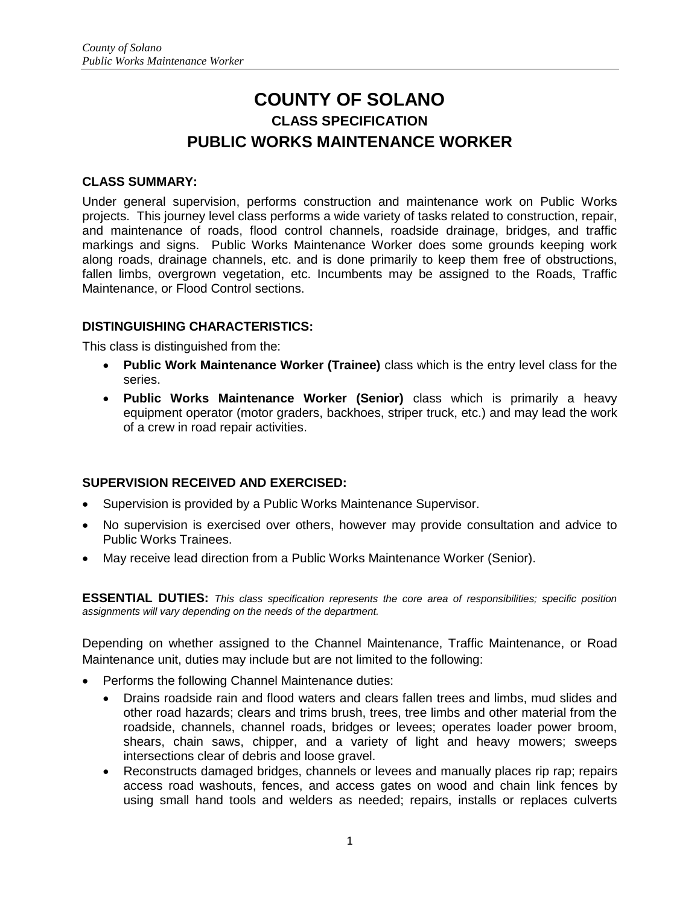# **COUNTY OF SOLANO CLASS SPECIFICATION PUBLIC WORKS MAINTENANCE WORKER**

#### **CLASS SUMMARY:**

Under general supervision, performs construction and maintenance work on Public Works projects. This journey level class performs a wide variety of tasks related to construction, repair, and maintenance of roads, flood control channels, roadside drainage, bridges, and traffic markings and signs. Public Works Maintenance Worker does some grounds keeping work along roads, drainage channels, etc. and is done primarily to keep them free of obstructions, fallen limbs, overgrown vegetation, etc. Incumbents may be assigned to the Roads, Traffic Maintenance, or Flood Control sections.

## **DISTINGUISHING CHARACTERISTICS:**

This class is distinguished from the:

- **Public Work Maintenance Worker (Trainee)** class which is the entry level class for the series.
- **Public Works Maintenance Worker (Senior)** class which is primarily a heavy equipment operator (motor graders, backhoes, striper truck, etc.) and may lead the work of a crew in road repair activities.

# **SUPERVISION RECEIVED AND EXERCISED:**

- Supervision is provided by a Public Works Maintenance Supervisor.
- No supervision is exercised over others, however may provide consultation and advice to Public Works Trainees.
- May receive lead direction from a Public Works Maintenance Worker (Senior).

**ESSENTIAL DUTIES:** *This class specification represents the core area of responsibilities; specific position assignments will vary depending on the needs of the department.*

Depending on whether assigned to the Channel Maintenance, Traffic Maintenance, or Road Maintenance unit, duties may include but are not limited to the following:

- Performs the following Channel Maintenance duties:
	- Drains roadside rain and flood waters and clears fallen trees and limbs, mud slides and other road hazards; clears and trims brush, trees, tree limbs and other material from the roadside, channels, channel roads, bridges or levees; operates loader power broom, shears, chain saws, chipper, and a variety of light and heavy mowers; sweeps intersections clear of debris and loose gravel.
	- Reconstructs damaged bridges, channels or levees and manually places rip rap; repairs access road washouts, fences, and access gates on wood and chain link fences by using small hand tools and welders as needed; repairs, installs or replaces culverts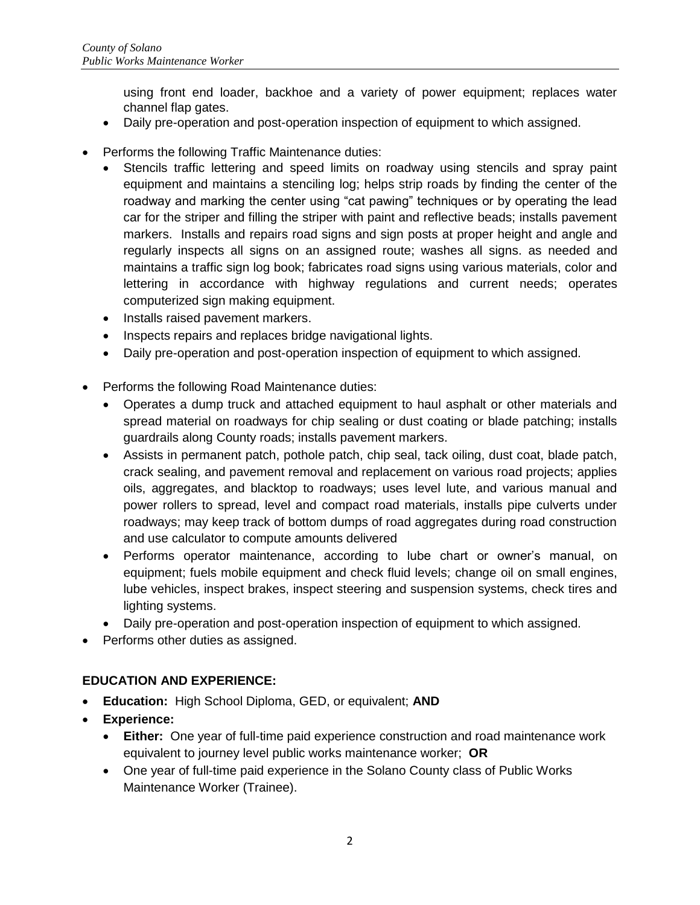using front end loader, backhoe and a variety of power equipment; replaces water channel flap gates.

- Daily pre-operation and post-operation inspection of equipment to which assigned.
- Performs the following Traffic Maintenance duties:
	- Stencils traffic lettering and speed limits on roadway using stencils and spray paint equipment and maintains a stenciling log; helps strip roads by finding the center of the roadway and marking the center using "cat pawing" techniques or by operating the lead car for the striper and filling the striper with paint and reflective beads; installs pavement markers. Installs and repairs road signs and sign posts at proper height and angle and regularly inspects all signs on an assigned route; washes all signs. as needed and maintains a traffic sign log book; fabricates road signs using various materials, color and lettering in accordance with highway regulations and current needs; operates computerized sign making equipment.
	- Installs raised pavement markers.
	- Inspects repairs and replaces bridge navigational lights.
	- Daily pre-operation and post-operation inspection of equipment to which assigned.
- Performs the following Road Maintenance duties:
	- Operates a dump truck and attached equipment to haul asphalt or other materials and spread material on roadways for chip sealing or dust coating or blade patching; installs guardrails along County roads; installs pavement markers.
	- Assists in permanent patch, pothole patch, chip seal, tack oiling, dust coat, blade patch, crack sealing, and pavement removal and replacement on various road projects; applies oils, aggregates, and blacktop to roadways; uses level lute, and various manual and power rollers to spread, level and compact road materials, installs pipe culverts under roadways; may keep track of bottom dumps of road aggregates during road construction and use calculator to compute amounts delivered
	- Performs operator maintenance, according to lube chart or owner's manual, on equipment; fuels mobile equipment and check fluid levels; change oil on small engines, lube vehicles, inspect brakes, inspect steering and suspension systems, check tires and lighting systems.
	- Daily pre-operation and post-operation inspection of equipment to which assigned.
- Performs other duties as assigned.

# **EDUCATION AND EXPERIENCE:**

- **Education:** High School Diploma, GED, or equivalent; **AND**
- **Experience:** 
	- **Either:** One year of full-time paid experience construction and road maintenance work equivalent to journey level public works maintenance worker; **OR**
	- One year of full-time paid experience in the Solano County class of Public Works Maintenance Worker (Trainee).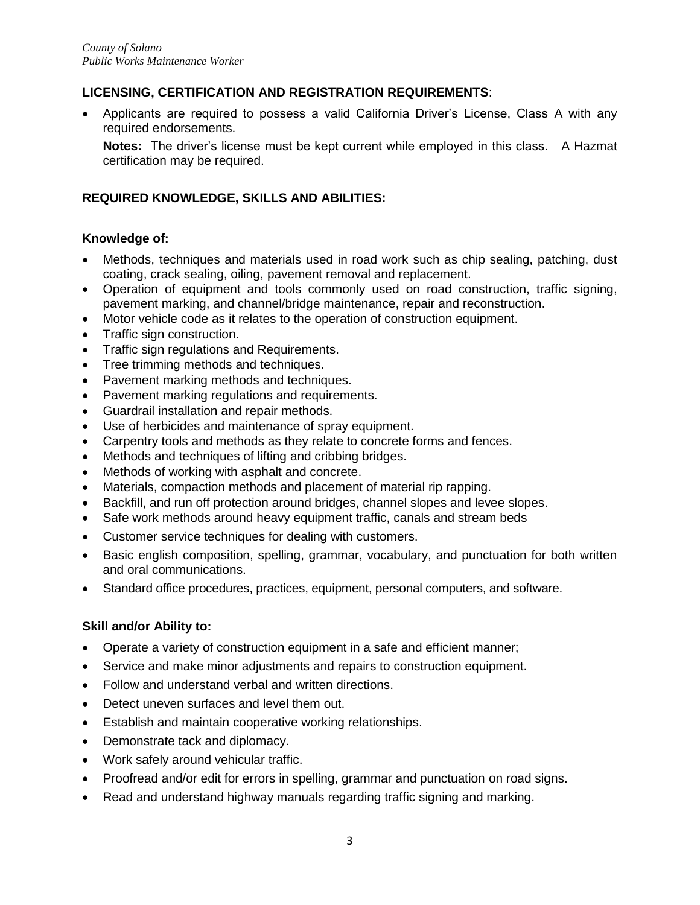# **LICENSING, CERTIFICATION AND REGISTRATION REQUIREMENTS**:

 Applicants are required to possess a valid California Driver's License, Class A with any required endorsements.

**Notes:** The driver's license must be kept current while employed in this class. A Hazmat certification may be required.

#### **REQUIRED KNOWLEDGE, SKILLS AND ABILITIES:**

#### **Knowledge of:**

- Methods, techniques and materials used in road work such as chip sealing, patching, dust coating, crack sealing, oiling, pavement removal and replacement.
- Operation of equipment and tools commonly used on road construction, traffic signing, pavement marking, and channel/bridge maintenance, repair and reconstruction.
- Motor vehicle code as it relates to the operation of construction equipment.
- Traffic sign construction.
- Traffic sign regulations and Requirements.
- Tree trimming methods and techniques.
- Pavement marking methods and techniques.
- Pavement marking regulations and requirements.
- Guardrail installation and repair methods.
- Use of herbicides and maintenance of spray equipment.
- Carpentry tools and methods as they relate to concrete forms and fences.
- Methods and techniques of lifting and cribbing bridges.
- Methods of working with asphalt and concrete.
- Materials, compaction methods and placement of material rip rapping.
- Backfill, and run off protection around bridges, channel slopes and levee slopes.
- Safe work methods around heavy equipment traffic, canals and stream beds
- Customer service techniques for dealing with customers.
- Basic english composition, spelling, grammar, vocabulary, and punctuation for both written and oral communications.
- Standard office procedures, practices, equipment, personal computers, and software.

#### **Skill and/or Ability to:**

- Operate a variety of construction equipment in a safe and efficient manner;
- Service and make minor adjustments and repairs to construction equipment.
- Follow and understand verbal and written directions.
- Detect uneven surfaces and level them out.
- Establish and maintain cooperative working relationships.
- Demonstrate tack and diplomacy.
- Work safely around vehicular traffic.
- Proofread and/or edit for errors in spelling, grammar and punctuation on road signs.
- Read and understand highway manuals regarding traffic signing and marking.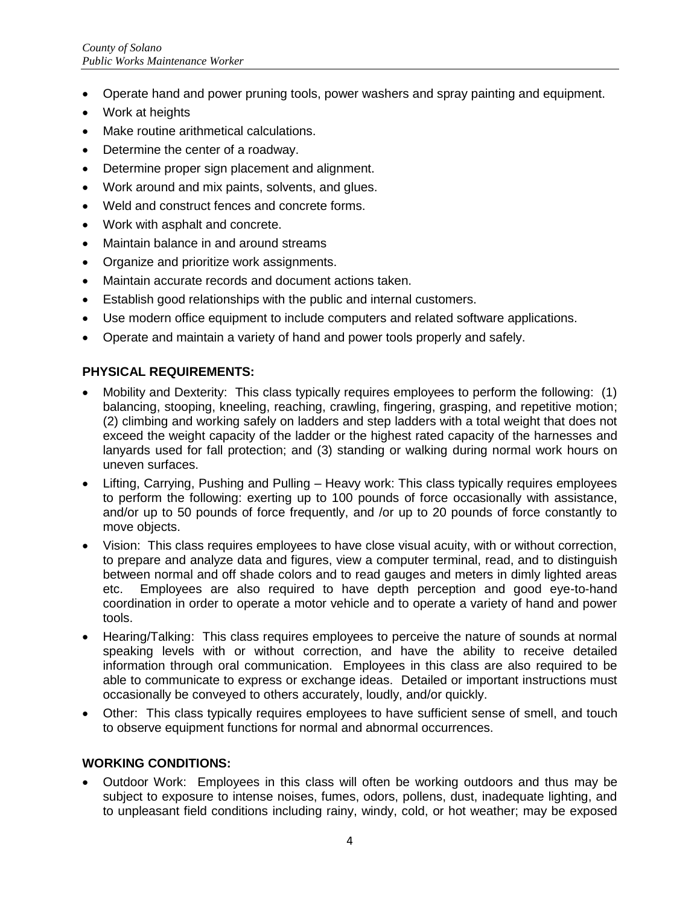- Operate hand and power pruning tools, power washers and spray painting and equipment.
- Work at heights
- Make routine arithmetical calculations.
- Determine the center of a roadway.
- Determine proper sign placement and alignment.
- Work around and mix paints, solvents, and glues.
- Weld and construct fences and concrete forms.
- Work with asphalt and concrete.
- Maintain balance in and around streams
- Organize and prioritize work assignments.
- Maintain accurate records and document actions taken.
- Establish good relationships with the public and internal customers.
- Use modern office equipment to include computers and related software applications.
- Operate and maintain a variety of hand and power tools properly and safely.

## **PHYSICAL REQUIREMENTS:**

- Mobility and Dexterity: This class typically requires employees to perform the following: (1) balancing, stooping, kneeling, reaching, crawling, fingering, grasping, and repetitive motion; (2) climbing and working safely on ladders and step ladders with a total weight that does not exceed the weight capacity of the ladder or the highest rated capacity of the harnesses and lanyards used for fall protection; and (3) standing or walking during normal work hours on uneven surfaces.
- Lifting, Carrying, Pushing and Pulling Heavy work: This class typically requires employees to perform the following: exerting up to 100 pounds of force occasionally with assistance, and/or up to 50 pounds of force frequently, and /or up to 20 pounds of force constantly to move objects.
- Vision: This class requires employees to have close visual acuity, with or without correction, to prepare and analyze data and figures, view a computer terminal, read, and to distinguish between normal and off shade colors and to read gauges and meters in dimly lighted areas etc. Employees are also required to have depth perception and good eye-to-hand coordination in order to operate a motor vehicle and to operate a variety of hand and power tools.
- Hearing/Talking: This class requires employees to perceive the nature of sounds at normal speaking levels with or without correction, and have the ability to receive detailed information through oral communication. Employees in this class are also required to be able to communicate to express or exchange ideas. Detailed or important instructions must occasionally be conveyed to others accurately, loudly, and/or quickly.
- Other: This class typically requires employees to have sufficient sense of smell, and touch to observe equipment functions for normal and abnormal occurrences.

#### **WORKING CONDITIONS:**

 Outdoor Work: Employees in this class will often be working outdoors and thus may be subject to exposure to intense noises, fumes, odors, pollens, dust, inadequate lighting, and to unpleasant field conditions including rainy, windy, cold, or hot weather; may be exposed